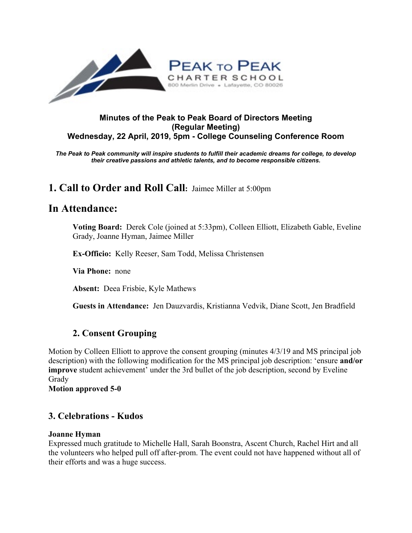

### **Minutes of the Peak to Peak Board of Directors Meeting (Regular Meeting) Wednesday, 22 April, 2019, 5pm - College Counseling Conference Room**

*The Peak to Peak community will inspire students to fulfill their academic dreams for college, to develop their creative passions and athletic talents, and to become responsible citizens.*

# **1. Call to Order and Roll Call:** Jaimee Miller at 5:00pm

# **In Attendance:**

**Voting Board:** Derek Cole (joined at 5:33pm), Colleen Elliott, Elizabeth Gable, Eveline Grady, Joanne Hyman, Jaimee Miller

**Ex-Officio:** Kelly Reeser, Sam Todd, Melissa Christensen

**Via Phone:** none

**Absent:** Deea Frisbie, Kyle Mathews

**Guests in Attendance:** Jen Dauzvardis, Kristianna Vedvik, Diane Scott, Jen Bradfield

## **2. Consent Grouping**

Motion by Colleen Elliott to approve the consent grouping (minutes 4/3/19 and MS principal job description) with the following modification for the MS principal job description: 'ensure **and/or improve** student achievement' under the 3rd bullet of the job description, second by Eveline Grady **Motion approved 5-0**

**3. Celebrations - Kudos**

## **Joanne Hyman**

Expressed much gratitude to Michelle Hall, Sarah Boonstra, Ascent Church, Rachel Hirt and all the volunteers who helped pull off after-prom. The event could not have happened without all of their efforts and was a huge success.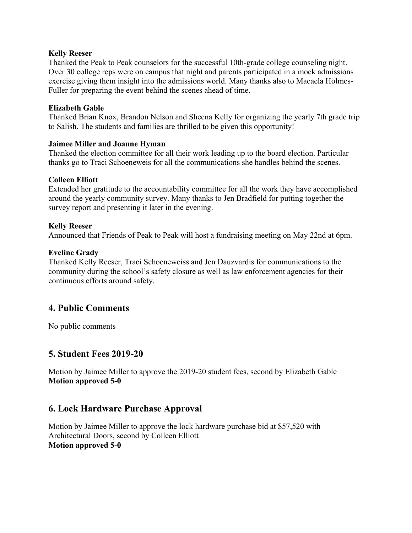#### **Kelly Reeser**

Thanked the Peak to Peak counselors for the successful 10th-grade college counseling night. Over 30 college reps were on campus that night and parents participated in a mock admissions exercise giving them insight into the admissions world. Many thanks also to Macaela Holmes-Fuller for preparing the event behind the scenes ahead of time.

#### **Elizabeth Gable**

Thanked Brian Knox, Brandon Nelson and Sheena Kelly for organizing the yearly 7th grade trip to Salish. The students and families are thrilled to be given this opportunity!

#### **Jaimee Miller and Joanne Hyman**

Thanked the election committee for all their work leading up to the board election. Particular thanks go to Traci Schoeneweis for all the communications she handles behind the scenes.

#### **Colleen Elliott**

Extended her gratitude to the accountability committee for all the work they have accomplished around the yearly community survey. Many thanks to Jen Bradfield for putting together the survey report and presenting it later in the evening.

#### **Kelly Reeser**

Announced that Friends of Peak to Peak will host a fundraising meeting on May 22nd at 6pm.

#### **Eveline Grady**

Thanked Kelly Reeser, Traci Schoeneweiss and Jen Dauzvardis for communications to the community during the school's safety closure as well as law enforcement agencies for their continuous efforts around safety.

## **4. Public Comments**

No public comments

## **5. Student Fees 2019-20**

Motion by Jaimee Miller to approve the 2019-20 student fees, second by Elizabeth Gable **Motion approved 5-0**

## **6. Lock Hardware Purchase Approval**

Motion by Jaimee Miller to approve the lock hardware purchase bid at \$57,520 with Architectural Doors, second by Colleen Elliott **Motion approved 5-0**